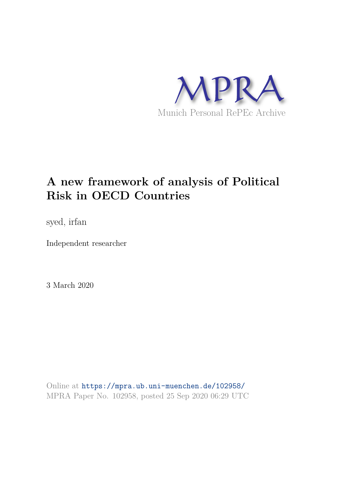

# **A new framework of analysis of Political Risk in OECD Countries**

syed, irfan

Independent researcher

3 March 2020

Online at https://mpra.ub.uni-muenchen.de/102958/ MPRA Paper No. 102958, posted 25 Sep 2020 06:29 UTC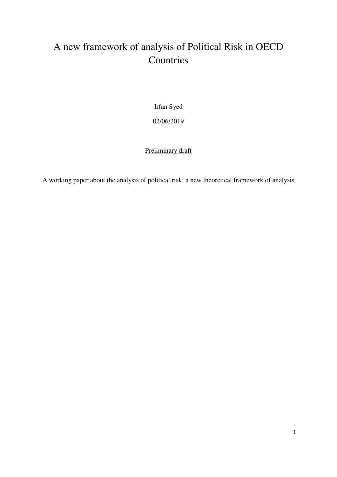## A new framework of analysis of Political Risk in OECD Countries

Irfan Syed 02/06/2019

#### Preliminary draft

A working paper about the analysis of political risk: a new theoretical framework of analysis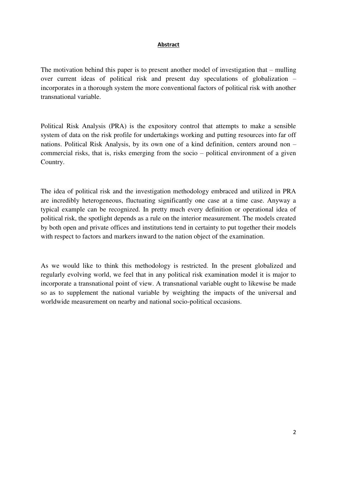#### **Abstract**

The motivation behind this paper is to present another model of investigation that – mulling over current ideas of political risk and present day speculations of globalization – incorporates in a thorough system the more conventional factors of political risk with another transnational variable.

Political Risk Analysis (PRA) is the expository control that attempts to make a sensible system of data on the risk profile for undertakings working and putting resources into far off nations. Political Risk Analysis, by its own one of a kind definition, centers around non – commercial risks, that is, risks emerging from the socio – political environment of a given Country.

The idea of political risk and the investigation methodology embraced and utilized in PRA are incredibly heterogeneous, fluctuating significantly one case at a time case. Anyway a typical example can be recognized. In pretty much every definition or operational idea of political risk, the spotlight depends as a rule on the interior measurement. The models created by both open and private offices and institutions tend in certainty to put together their models with respect to factors and markers inward to the nation object of the examination.

As we would like to think this methodology is restricted. In the present globalized and regularly evolving world, we feel that in any political risk examination model it is major to incorporate a transnational point of view. A transnational variable ought to likewise be made so as to supplement the national variable by weighting the impacts of the universal and worldwide measurement on nearby and national socio-political occasions.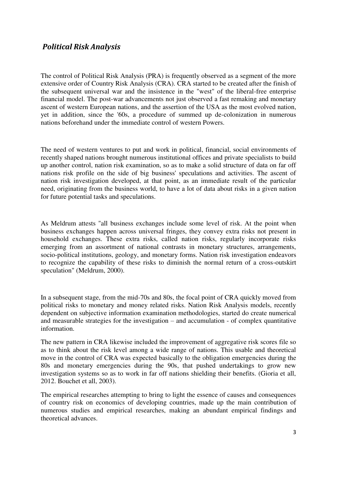#### *Political Risk Analysis*

The control of Political Risk Analysis (PRA) is frequently observed as a segment of the more extensive order of Country Risk Analysis (CRA). CRA started to be created after the finish of the subsequent universal war and the insistence in the "west" of the liberal-free enterprise financial model. The post-war advancements not just observed a fast remaking and monetary ascent of western European nations, and the assertion of the USA as the most evolved nation, yet in addition, since the '60s, a procedure of summed up de-colonization in numerous nations beforehand under the immediate control of western Powers.

The need of western ventures to put and work in political, financial, social environments of recently shaped nations brought numerous institutional offices and private specialists to build up another control, nation risk examination, so as to make a solid structure of data on far off nations risk profile on the side of big business' speculations and activities. The ascent of nation risk investigation developed, at that point, as an immediate result of the particular need, originating from the business world, to have a lot of data about risks in a given nation for future potential tasks and speculations.

As Meldrum attests "all business exchanges include some level of risk. At the point when business exchanges happen across universal fringes, they convey extra risks not present in household exchanges. These extra risks, called nation risks, regularly incorporate risks emerging from an assortment of national contrasts in monetary structures, arrangements, socio-political institutions, geology, and monetary forms. Nation risk investigation endeavors to recognize the capability of these risks to diminish the normal return of a cross-outskirt speculation" (Meldrum, 2000).

In a subsequent stage, from the mid-70s and 80s, the focal point of CRA quickly moved from political risks to monetary and money related risks. Nation Risk Analysis models, recently dependent on subjective information examination methodologies, started do create numerical and measurable strategies for the investigation – and accumulation - of complex quantitative information.

The new pattern in CRA likewise included the improvement of aggregative risk scores file so as to think about the risk level among a wide range of nations. This usable and theoretical move in the control of CRA was expected basically to the obligation emergencies during the 80s and monetary emergencies during the 90s, that pushed undertakings to grow new investigation systems so as to work in far off nations shielding their benefits. (Gioria et all, 2012. Bouchet et all, 2003).

The empirical researches attempting to bring to light the essence of causes and consequences of country risk on economics of developing countries, made up the main contribution of numerous studies and empirical researches, making an abundant empirical findings and theoretical advances.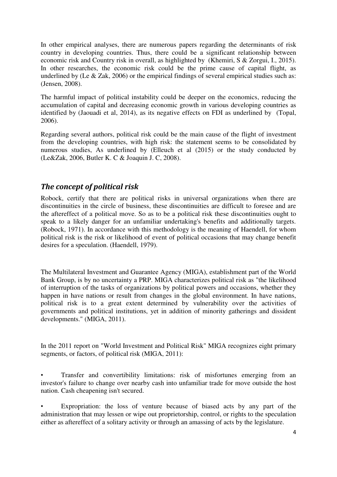In other empirical analyses, there are numerous papers regarding the determinants of risk country in developing countries. Thus, there could be a significant relationship between economic risk and Country risk in overall, as highlighted by (Khemiri, S & Zorgui, I., 2015). In other researches, the economic risk could be the prime cause of capital flight, as underlined by (Le  $& Zak, 2006$ ) or the empirical findings of several empirical studies such as: (Jensen, 2008).

The harmful impact of political instability could be deeper on the economics, reducing the accumulation of capital and decreasing economic growth in various developing countries as identified by (Jaouadi et al, 2014), as its negative effects on FDI as underlined by (Topal, 2006).

Regarding several authors, political risk could be the main cause of the flight of investment from the developing countries, with high risk: the statement seems to be consolidated by numerous studies, As underlined by (Elleuch et al (2015) or the study conducted by (Le&Zak, 2006, Butler K. C & Joaquin J. C, 2008).

### *The concept of political risk*

Robock, certify that there are political risks in universal organizations when there are discontinuities in the circle of business, these discontinuities are difficult to foresee and are the aftereffect of a political move. So as to be a political risk these discontinuities ought to speak to a likely danger for an unfamiliar undertaking's benefits and additionally targets. (Robock, 1971). In accordance with this methodology is the meaning of Haendell, for whom political risk is the risk or likelihood of event of political occasions that may change benefit desires for a speculation. (Haendell, 1979).

The Multilateral Investment and Guarantee Agency (MIGA), establishment part of the World Bank Group, is by no uncertainty a PRP. MIGA characterizes political risk as "the likelihood of interruption of the tasks of organizations by political powers and occasions, whether they happen in have nations or result from changes in the global environment. In have nations, political risk is to a great extent determined by vulnerability over the activities of governments and political institutions, yet in addition of minority gatherings and dissident developments." (MIGA, 2011).

In the 2011 report on "World Investment and Political Risk" MIGA recognizes eight primary segments, or factors, of political risk (MIGA, 2011):

• Transfer and convertibility limitations: risk of misfortunes emerging from an investor's failure to change over nearby cash into unfamiliar trade for move outside the host nation. Cash cheapening isn't secured.

Expropriation: the loss of venture because of biased acts by any part of the administration that may lessen or wipe out proprietorship, control, or rights to the speculation either as aftereffect of a solitary activity or through an amassing of acts by the legislature.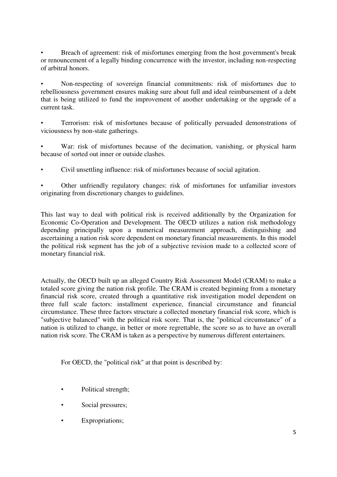• Breach of agreement: risk of misfortunes emerging from the host government's break or renouncement of a legally binding concurrence with the investor, including non-respecting of arbitral honors.

• Non-respecting of sovereign financial commitments: risk of misfortunes due to rebelliousness government ensures making sure about full and ideal reimbursement of a debt that is being utilized to fund the improvement of another undertaking or the upgrade of a current task.

• Terrorism: risk of misfortunes because of politically persuaded demonstrations of viciousness by non-state gatherings.

War: risk of misfortunes because of the decimation, vanishing, or physical harm because of sorted out inner or outside clashes.

• Civil unsettling influence: risk of misfortunes because of social agitation.

• Other unfriendly regulatory changes: risk of misfortunes for unfamiliar investors originating from discretionary changes to guidelines.

This last way to deal with political risk is received additionally by the Organization for Economic Co-Operation and Development. The OECD utilizes a nation risk methodology depending principally upon a numerical measurement approach, distinguishing and ascertaining a nation risk score dependent on monetary financial measurements. In this model the political risk segment has the job of a subjective revision made to a collected score of monetary financial risk.

Actually, the OECD built up an alleged Country Risk Assessment Model (CRAM) to make a totaled score giving the nation risk profile. The CRAM is created beginning from a monetary financial risk score, created through a quantitative risk investigation model dependent on three full scale factors: installment experience, financial circumstance and financial circumstance. These three factors structure a collected monetary financial risk score, which is "subjective balanced" with the political risk score. That is, the "political circumstance" of a nation is utilized to change, in better or more regrettable, the score so as to have an overall nation risk score. The CRAM is taken as a perspective by numerous different entertainers.

For OECD, the "political risk" at that point is described by:

- Political strength;
- Social pressures;
- Expropriations;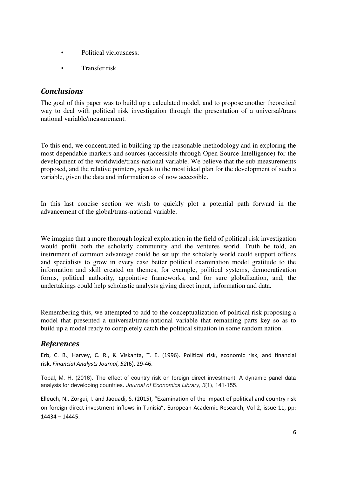- Political viciousness:
- Transfer risk.

#### *Conclusions*

The goal of this paper was to build up a calculated model, and to propose another theoretical way to deal with political risk investigation through the presentation of a universal/trans national variable/measurement.

To this end, we concentrated in building up the reasonable methodology and in exploring the most dependable markers and sources (accessible through Open Source Intelligence) for the development of the worldwide/trans-national variable. We believe that the sub measurements proposed, and the relative pointers, speak to the most ideal plan for the development of such a variable, given the data and information as of now accessible.

In this last concise section we wish to quickly plot a potential path forward in the advancement of the global/trans-national variable.

We imagine that a more thorough logical exploration in the field of political risk investigation would profit both the scholarly community and the ventures world. Truth be told, an instrument of common advantage could be set up: the scholarly world could support offices and specialists to grow in every case better political examination model gratitude to the information and skill created on themes, for example, political systems, democratization forms, political authority, appointive frameworks, and for sure globalization, and, the undertakings could help scholastic analysts giving direct input, information and data.

Remembering this, we attempted to add to the conceptualization of political risk proposing a model that presented a universal/trans-national variable that remaining parts key so as to build up a model ready to completely catch the political situation in some random nation.

#### *References*

Erb, C. B., Harvey, C. R., & Viskanta, T. E. (1996). Political risk, economic risk, and financial risk. *Financial Analysts Journal*, *52*(6), 29-46.

Topal, M. H. (2016). The effect of country risk on foreign direct investment: A dynamic panel data analysis for developing countries. *Journal of Economics Library*, *3*(1), 141-155.

Elleuch, N., Zorgui, I. and Jaouadi, S. (2015), "Examination of the impact of political and country risk on foreign direct investment inflows in Tunisia", European Academic Research, Vol 2, issue 11, pp: 14434 – 14445.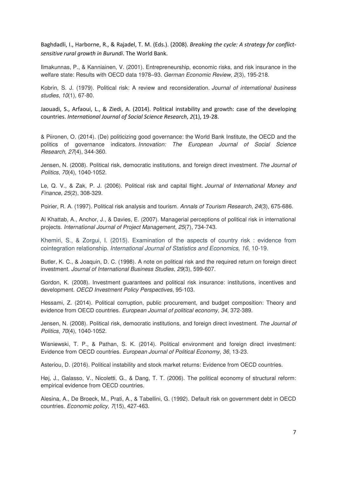Baghdadli, I., Harborne, R., & Rajadel, T. M. (Eds.). (2008). *Breaking the cycle: A strategy for conflictsensitive rural growth in Burundi*. The World Bank.

Ilmakunnas, P., & Kanniainen, V. (2001). Entrepreneurship, economic risks, and risk insurance in the welfare state: Results with OECD data 1978–93. *German Economic Review*, *2*(3), 195-218.

Kobrin, S. J. (1979). Political risk: A review and reconsideration. *Journal of international business studies*, *10*(1), 67-80.

Jaouadi, S., Arfaoui, L., & Ziedi, A. (2014). Political instability and growth: case of the developing countries. *International Journal of Social Science Research*, *2*(1), 19-28.

& Piironen, O. (2014). (De) politicizing good governance: the World Bank Institute, the OECD and the politics of governance indicators. *Innovation: The European Journal of Social Science Research*, *27*(4), 344-360.

Jensen, N. (2008). Political risk, democratic institutions, and foreign direct investment. *The Journal of Politics*, *70*(4), 1040-1052.

Le, Q. V., & Zak, P. J. (2006). Political risk and capital flight. *Journal of International Money and Finance*, *25*(2), 308-329.

Poirier, R. A. (1997). Political risk analysis and tourism. *Annals of Tourism Research*, *24*(3), 675-686.

Al Khattab, A., Anchor, J., & Davies, E. (2007). Managerial perceptions of political risk in international projects. *International Journal of Project Management*, *25*(7), 734-743.

Khemiri, S., & Zorgui, I. (2015). Examination of the aspects of country risk : evidence from cointegration relationship. *International Journal of Statistics and Economics, 16*, 10-19.

Butler, K. C., & Joaquin, D. C. (1998). A note on political risk and the required return on foreign direct investment. *Journal of International Business Studies*, *29*(3), 599-607.

Gordon, K. (2008). Investment guarantees and political risk insurance: institutions, incentives and development. *OECD Investment Policy Perspectives*, 95-103.

Hessami, Z. (2014). Political corruption, public procurement, and budget composition: Theory and evidence from OECD countries. *European Journal of political economy*, *34*, 372-389.

Jensen, N. (2008). Political risk, democratic institutions, and foreign direct investment. *The Journal of Politics*, *70*(4), 1040-1052.

Wisniewski, T. P., & Pathan, S. K. (2014). Political environment and foreign direct investment: Evidence from OECD countries. *European Journal of Political Economy*, *36*, 13-23.

Asteriou, D. (2016). Political instability and stock market returns: Evidence from OECD countries.

Høj, J., Galasso, V., Nicoletti, G., & Dang, T. T. (2006). The political economy of structural reform: empirical evidence from OECD countries.

Alesina, A., De Broeck, M., Prati, A., & Tabellini, G. (1992). Default risk on government debt in OECD countries. *Economic policy*, *7*(15), 427-463.